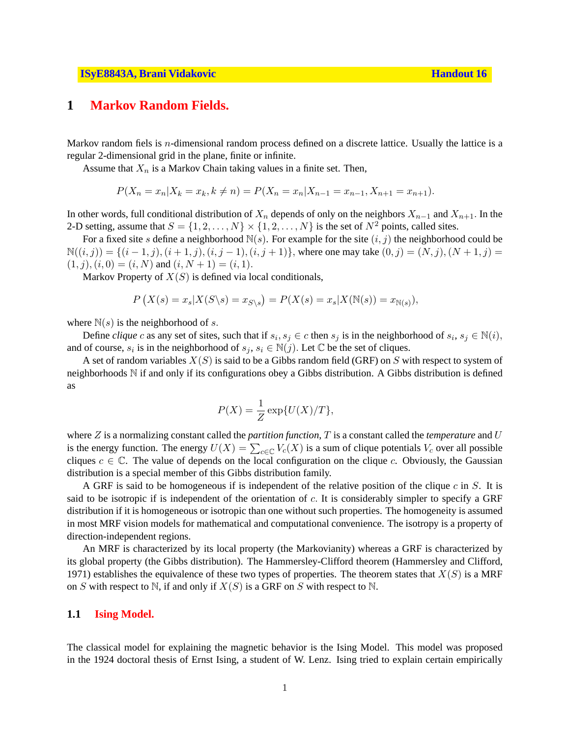## **1 Markov Random Fields.**

Markov random fiels is  $n$ -dimensional random process defined on a discrete lattice. Usually the lattice is a regular 2-dimensional grid in the plane, finite or infinite.

Assume that  $X_n$  is a Markov Chain taking values in a finite set. Then,

$$
P(X_n = x_n | X_k = x_k, k \neq n) = P(X_n = x_n | X_{n-1} = x_{n-1}, X_{n+1} = x_{n+1}).
$$

In other words, full conditional distribution of  $X_n$  depends of only on the neighbors  $X_{n-1}$  and  $X_{n+1}$ . In the 2-D setting, assume that  $S = \{1, 2, \ldots, N\} \times \{1, 2, \ldots, N\}$  is the set of  $N^2$  points, called sites.

For a fixed site s define a neighborhood  $N(s)$ . For example for the site  $(i, j)$  the neighborhood could be  $N((i, j)) = \{(i - 1, j), (i + 1, j), (i, j - 1), (i, j + 1)\}\$ , where one may take  $(0, j) = (N, j), (N + 1, j) =$  $(1, j), (i, 0) = (i, N)$  and  $(i, N + 1) = (i, 1)$ .

Markov Property of  $X(S)$  is defined via local conditionals,

$$
P(X(s) = x_s | X(S \backslash s) = x_{S \backslash s}) = P(X(s) = x_s | X(\mathbb{N}(s)) = x_{\mathbb{N}(s)}),
$$

where  $N(s)$  is the neighborhood of s.

Define *clique* c as any set of sites, such that if  $s_i, s_j \in c$  then  $s_j$  is in the neighborhood of  $s_i, s_j \in \mathbb{N}(i)$ , and of course,  $s_i$  is in the neighborhood of  $s_j$ ,  $s_i \in \mathbb{N}(j)$ . Let  $\mathbb C$  be the set of cliques.

A set of random variables  $X(S)$  is said to be a Gibbs random field (GRF) on S with respect to system of neighborhoods N if and only if its configurations obey a Gibbs distribution. A Gibbs distribution is defined as

$$
P(X) = \frac{1}{Z} \exp\{U(X)/T\},\,
$$

where Z is a normalizing constant called the *partition function*, T is a constant called the *temperature* and U where Z is a normanizing constant caned the *partition* function, 1 is a constant caned the *temperature* and *C* is the energy function. The energy  $U(X) = \sum_{c \in \mathbb{C}} V_c(X)$  is a sum of clique potentials  $V_c$  over all possi cliques  $c \in \mathbb{C}$ . The value of depends on the local configuration on the clique c. Obviously, the Gaussian distribution is a special member of this Gibbs distribution family.

A GRF is said to be homogeneous if is independent of the relative position of the clique  $c$  in  $S$ . It is said to be isotropic if is independent of the orientation of  $c$ . It is considerably simpler to specify a GRF distribution if it is homogeneous or isotropic than one without such properties. The homogeneity is assumed in most MRF vision models for mathematical and computational convenience. The isotropy is a property of direction-independent regions.

An MRF is characterized by its local property (the Markovianity) whereas a GRF is characterized by its global property (the Gibbs distribution). The Hammersley-Clifford theorem (Hammersley and Clifford, 1971) establishes the equivalence of these two types of properties. The theorem states that  $X(S)$  is a MRF on S with respect to N, if and only if  $X(S)$  is a GRF on S with respect to N.

### **1.1 Ising Model.**

The classical model for explaining the magnetic behavior is the Ising Model. This model was proposed in the 1924 doctoral thesis of Ernst Ising, a student of W. Lenz. Ising tried to explain certain empirically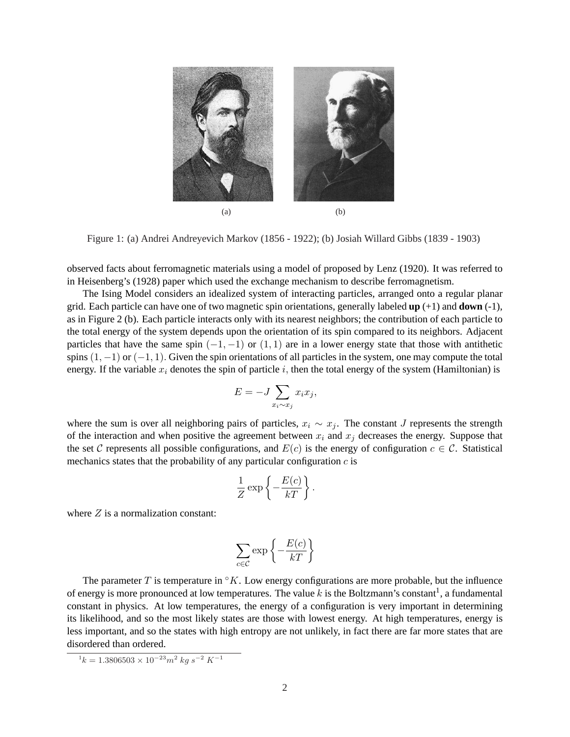

Figure 1: (a) Andrei Andreyevich Markov (1856 - 1922); (b) Josiah Willard Gibbs (1839 - 1903)

observed facts about ferromagnetic materials using a model of proposed by Lenz (1920). It was referred to in Heisenberg's (1928) paper which used the exchange mechanism to describe ferromagnetism.

The Ising Model considers an idealized system of interacting particles, arranged onto a regular planar grid. Each particle can have one of two magnetic spin orientations, generally labeled **up** (+1) and **down** (-1), as in Figure 2 (b). Each particle interacts only with its nearest neighbors; the contribution of each particle to the total energy of the system depends upon the orientation of its spin compared to its neighbors. Adjacent particles that have the same spin  $(-1, -1)$  or  $(1, 1)$  are in a lower energy state that those with antithetic spins  $(1, -1)$  or  $(-1, 1)$ . Given the spin orientations of all particles in the system, one may compute the total energy. If the variable  $x_i$  denotes the spin of particle i, then the total energy of the system (Hamiltonian) is

$$
E = -J \sum_{x_i \sim x_j} x_i x_j,
$$

where the sum is over all neighboring pairs of particles,  $x_i \sim x_j$ . The constant J represents the strength of the interaction and when positive the agreement between  $x_i$  and  $x_j$  decreases the energy. Suppose that the set C represents all possible configurations, and  $E(c)$  is the energy of configuration  $c \in C$ . Statistical mechanics states that the probability of any particular configuration  $c$  is

$$
\frac{1}{Z}\exp\left\{-\frac{E(c)}{kT}\right\}.
$$

where  $Z$  is a normalization constant:

$$
\sum_{c \in \mathcal{C}} \exp \left\{-\frac{E(c)}{kT}\right\}
$$

The parameter T is temperature in  $\mathcal{C}_K$ . Low energy configurations are more probable, but the influence of energy is more pronounced at low temperatures. The value k is the Boltzmann's constant<sup>1</sup>, a fundamental constant in physics. At low temperatures, the energy of a configuration is very important in determining its likelihood, and so the most likely states are those with lowest energy. At high temperatures, energy is less important, and so the states with high entropy are not unlikely, in fact there are far more states that are disordered than ordered.

 $1 k = 1.3806503 \times 10^{-23} m^2 kg s^{-2} K^{-1}$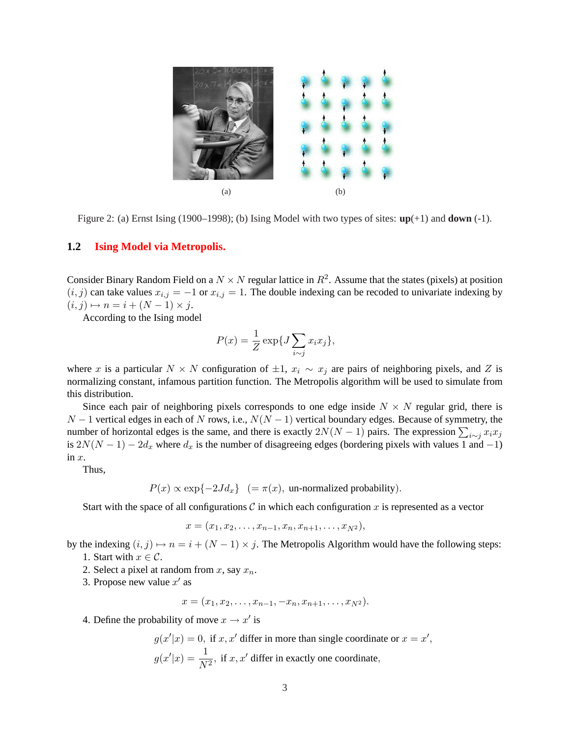

Figure 2: (a) Ernst Ising (1900–1998); (b) Ising Model with two types of sites: **up**(+1) and **down** (-1).

### **1.2 Ising Model via Metropolis.**

Consider Binary Random Field on a  $N \times N$  regular lattice in  $R^2$ . Assume that the states (pixels) at position  $(i, j)$  can take values  $x_{i,j} = -1$  or  $x_{i,j} = 1$ . The double indexing can be recoded to univariate indexing by  $(i, j) \mapsto n = i + (N - 1) \times j.$ 

According to the Ising model

$$
P(x) = \frac{1}{Z} \exp\{J \sum_{i \sim j} x_i x_j\},\,
$$

where x is a particular  $N \times N$  configuration of  $\pm 1$ ,  $x_i \sim x_j$  are pairs of neighboring pixels, and Z is normalizing constant, infamous partition function. The Metropolis algorithm will be used to simulate from this distribution.

Since each pair of neighboring pixels corresponds to one edge inside  $N \times N$  regular grid, there is  $N-1$  vertical edges in each of N rows, i.e.,  $N(N-1)$  vertical boundary edges. Because of symmetry, the  $N-1$  vertical edges in each of *N* Tows, i.e.,  $N(N-1)$  vertical boundary edges. Because of symmetry, the number of horizontal edges is the same, and there is exactly  $2N(N-1)$  pairs. The expression  $\sum_{i \sim j} x_i x_j$ is  $2N(N-1) - 2d_x$  where  $d_x$  is the number of disagreeing edges (bordering pixels with values 1 and -1) in  $x$ .

Thus,

$$
P(x) \propto \exp\{-2Jd_x\}
$$
 (=  $\pi(x)$ , un-normalized probability).

Start with the space of all configurations  $C$  in which each configuration  $x$  is represented as a vector

 $x = (x_1, x_2, \ldots, x_{n-1}, x_n, x_{n+1}, \ldots, x_{N^2}),$ 

by the indexing  $(i, j) \mapsto n = i + (N - 1) \times j$ . The Metropolis Algorithm would have the following steps: 1. Start with  $x \in \mathcal{C}$ .

- 2. Select a pixel at random from x, say  $x_n$ .
- 3. Propose new value  $x'$  as

$$
x=(x_1,x_2,\ldots,x_{n-1},-x_n,x_{n+1},\ldots,x_{N^2}).
$$

4. Define the probability of move  $x \to x'$  is

$$
g(x'|x) = 0
$$
, if  $x, x'$  differ in more than single coordinate or  $x = x'$   
 $g(x'|x) = \frac{1}{N^2}$ , if  $x, x'$  differ in exactly one coordinate,

,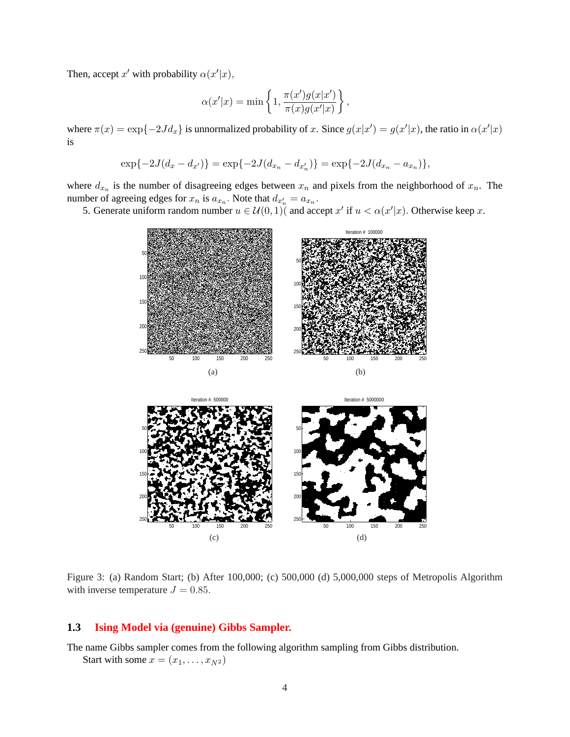Then, accept x' with probability  $\alpha(x'|x)$ ,

$$
\alpha(x'|x) = \min\left\{1, \frac{\pi(x')g(x|x')}{\pi(x)g(x'|x)}\right\},\,
$$

where  $\pi(x) = \exp\{-2Jd_x\}$  is unnormalized probability of x. Since  $g(x|x') = g(x'|x)$ , the ratio in  $\alpha(x'|x)$ is

$$
\exp\{-2J(d_x - d_{x'})\} = \exp\{-2J(d_{x_n} - d_{x'_n})\} = \exp\{-2J(d_{x_n} - a_{x_n})\},\,
$$

where  $d_{x_n}$  is the number of disagreeing edges between  $x_n$  and pixels from the neighborhood of  $x_n$ . The number of agreeing edges for  $x_n$  is  $a_{x_n}$ . Note that  $d_{x'_n} = a_{x_n}$ .

5. Generate uniform random number  $u \in \mathcal{U}(0,1)$  and accept x' if  $u < \alpha(x'|x)$ . Otherwise keep x.



Figure 3: (a) Random Start; (b) After 100,000; (c) 500,000 (d) 5,000,000 steps of Metropolis Algorithm with inverse temperature  $J = 0.85$ .

 $(c)$  (d)

# **1.3 Ising Model via (genuine) Gibbs Sampler.**

The name Gibbs sampler comes from the following algorithm sampling from Gibbs distribution.

Start with some  $x = (x_1, \ldots, x_{N^2})$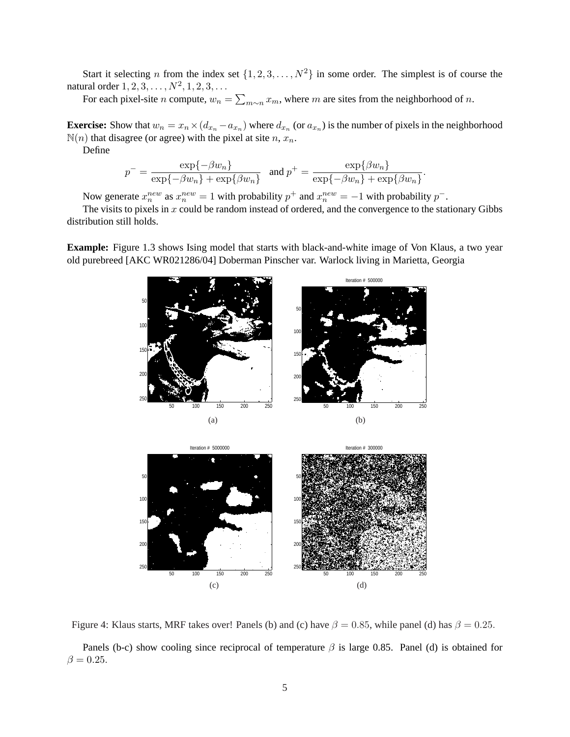Start it selecting n from the index set  $\{1, 2, 3, \ldots, N^2\}$  in some order. The simplest is of course the natural order  $1, 2, 3, ..., N^2, 1, 2, 3, ...$  $\overline{ }$ 

For each pixel-site *n* compute,  $w_n =$  $x_{m}$ , where m are sites from the neighborhood of n.

**Exercise:** Show that  $w_n = x_n \times (d_{x_n} - a_{x_n})$  where  $d_{x_n}$  (or  $a_{x_n}$ ) is the number of pixels in the neighborhood  $\mathbb{N}(n)$  that disagree (or agree) with the pixel at site n,  $x_n$ .

Define

$$
p^{-} = \frac{\exp\{-\beta w_n\}}{\exp\{-\beta w_n\} + \exp\{\beta w_n\}} \quad \text{and } p^{+} = \frac{\exp\{\beta w_n\}}{\exp\{-\beta w_n\} + \exp\{\beta w_n\}}.
$$

Now generate  $x_n^{new}$  as  $x_n^{new} = 1$  with probability  $p^+$  and  $x_n^{new} = -1$  with probability  $p^-$ .

The visits to pixels in  $x$  could be random instead of ordered, and the convergence to the stationary Gibbs distribution still holds.

**Example:** Figure 1.3 shows Ising model that starts with black-and-white image of Von Klaus, a two year old purebreed [AKC WR021286/04] Doberman Pinscher var. Warlock living in Marietta, Georgia



Figure 4: Klaus starts, MRF takes over! Panels (b) and (c) have  $\beta = 0.85$ , while panel (d) has  $\beta = 0.25$ .

Panels (b-c) show cooling since reciprocal of temperature  $\beta$  is large 0.85. Panel (d) is obtained for  $\beta = 0.25$ .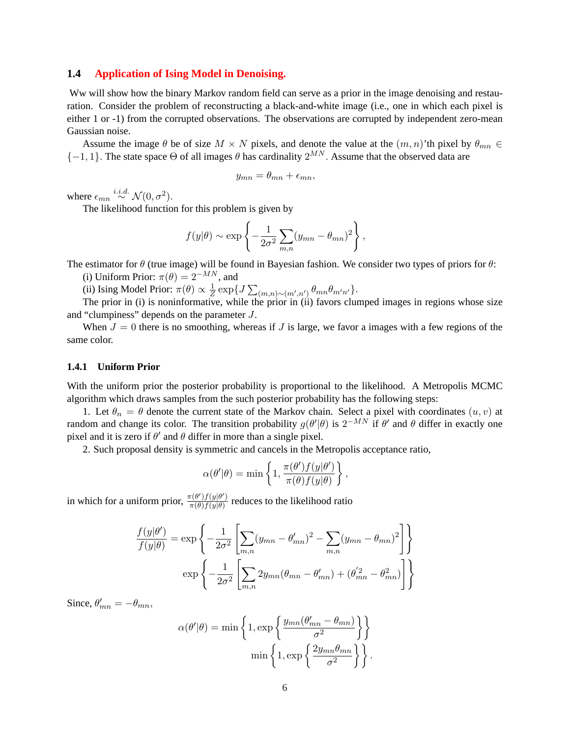#### **1.4 Application of Ising Model in Denoising.**

Ww will show how the binary Markov random field can serve as a prior in the image denoising and restauration. Consider the problem of reconstructing a black-and-white image (i.e., one in which each pixel is either 1 or -1) from the corrupted observations. The observations are corrupted by independent zero-mean Gaussian noise.

Assume the image  $\theta$  be of size  $M \times N$  pixels, and denote the value at the  $(m, n)$ 'th pixel by  $\theta_{mn} \in$  ${-1, 1}$ . The state space  $\Theta$  of all images  $\theta$  has cardinality  $2^{MN}$ . Assume that the observed data are

$$
y_{mn} = \theta_{mn} + \epsilon_{mn},
$$

where  $\epsilon_{mn} \stackrel{i.i.d.}{\sim} \mathcal{N}(0, \sigma^2)$ .

The likelihood function for this problem is given by

$$
f(y|\theta) \sim \exp\left\{-\frac{1}{2\sigma^2}\sum_{m,n}(y_{mn}-\theta_{mn})^2\right\},\,
$$

The estimator for  $\theta$  (true image) will be found in Bayesian fashion. We consider two types of priors for  $\theta$ :

(i) Uniform Prior:  $\pi(\theta) = 2^{-MN}$ , and

(ii) Ising Model Prior:  $\pi(\theta) \propto \frac{1}{Z}$  $\frac{1}{Z}$  exp{ $J$  $\overline{ }$  $(m,n) \sim (m',n') \theta_{mn} \theta_{m'n'}$ .

The prior in (i) is noninformative, while the prior in (ii) favors clumped images in regions whose size and "clumpiness" depends on the parameter J.

When  $J = 0$  there is no smoothing, whereas if J is large, we favor a images with a few regions of the same color.

#### **1.4.1 Uniform Prior**

With the uniform prior the posterior probability is proportional to the likelihood. A Metropolis MCMC algorithm which draws samples from the such posterior probability has the following steps:

1. Let  $\theta_n = \theta$  denote the current state of the Markov chain. Select a pixel with coordinates  $(u, v)$  at random and change its color. The transition probability  $g(\theta'|\theta)$  is  $2^{-MN}$  if  $\theta'$  and  $\theta$  differ in exactly one pixel and it is zero if  $\theta'$  and  $\theta$  differ in more than a single pixel.

2. Such proposal density is symmetric and cancels in the Metropolis acceptance ratio,

$$
\alpha(\theta'|\theta) = \min\left\{1, \frac{\pi(\theta')f(y|\theta')}{\pi(\theta)f(y|\theta)}\right\},\,
$$

in which for a uniform prior,  $\frac{\pi(\theta')f(y|\theta')}{\pi(\theta)f(y|\theta)}$  $\frac{\pi(\theta')f(y|\theta')}{\pi(\theta)f(y|\theta)}$  reduces to the likelihood ratio

$$
\frac{f(y|\theta')}{f(y|\theta)} = \exp\left\{-\frac{1}{2\sigma^2} \left[ \sum_{m,n} (y_{mn} - \theta'_{mn})^2 - \sum_{m,n} (y_{mn} - \theta_{mn})^2 \right] \right\}
$$

$$
\exp\left\{-\frac{1}{2\sigma^2} \left[ \sum_{m,n} 2y_{mn}(\theta_{mn} - \theta'_{mn}) + (\theta'^{2}_{mn} - \theta^{2}_{mn}) \right] \right\}
$$

Since,  $\theta'_{mn} = -\theta_{mn}$ ,

$$
\alpha(\theta'|\theta) = \min\left\{1, \exp\left\{\frac{y_{mn}(\theta'_{mn} - \theta_{mn})}{\sigma^2}\right\}\right\}
$$

$$
\min\left\{1, \exp\left\{\frac{2y_{mn}\theta_{mn}}{\sigma^2}\right\}\right\}.
$$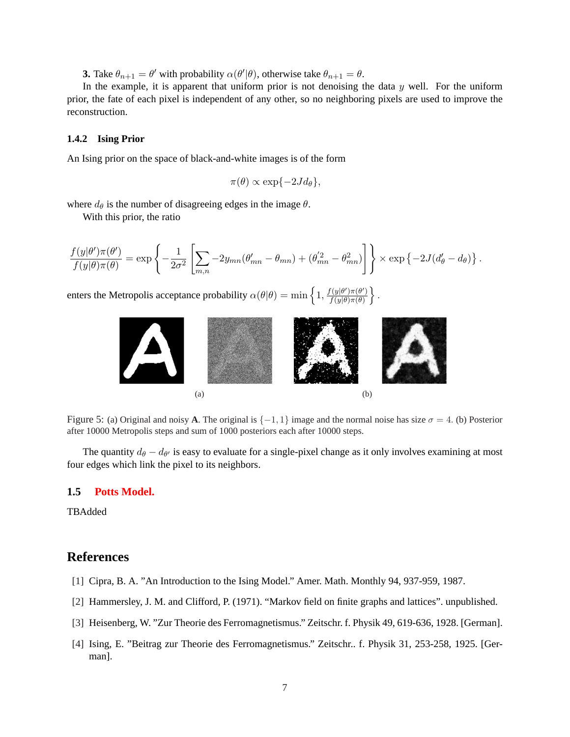**3.** Take  $\theta_{n+1} = \theta'$  with probability  $\alpha(\theta'|\theta)$ , otherwise take  $\theta_{n+1} = \theta$ .

In the example, it is apparent that uniform prior is not denoising the data  $y$  well. For the uniform prior, the fate of each pixel is independent of any other, so no neighboring pixels are used to improve the reconstruction.

#### **1.4.2 Ising Prior**

An Ising prior on the space of black-and-white images is of the form

$$
\pi(\theta) \propto \exp\{-2Jd_{\theta}\},
$$

where  $d_{\theta}$  is the number of disagreeing edges in the image  $\theta$ .

With this prior, the ratio

$$
\frac{f(y|\theta')\pi(\theta')}{f(y|\theta)\pi(\theta)} = \exp\left\{-\frac{1}{2\sigma^2} \left[\sum_{m,n} -2y_{mn}(\theta'_{mn} - \theta_{mn}) + (\theta'^{2}_{mn} - \theta^{2}_{mn})\right]\right\} \times \exp\left\{-2J(d'_{\theta} - d_{\theta})\right\}.
$$

enters the Metropolis acceptance probability  $\alpha(\theta|\theta) = \min\left\{1, \frac{f(y|\theta')\pi(\theta')}{f(y|\theta)\pi(\theta)}\right\}$  $f(y|\theta)\pi(\theta)$ o



.

Figure 5: (a) Original and noisy **A**. The original is  $\{-1, 1\}$  image and the normal noise has size  $\sigma = 4$ . (b) Posterior after 10000 Metropolis steps and sum of 1000 posteriors each after 10000 steps.

The quantity  $d_{\theta} - d_{\theta'}$  is easy to evaluate for a single-pixel change as it only involves examining at most four edges which link the pixel to its neighbors.

### **1.5 Potts Model.**

TBAdded

## **References**

- [1] Cipra, B. A. "An Introduction to the Ising Model." Amer. Math. Monthly 94, 937-959, 1987.
- [2] Hammersley, J. M. and Clifford, P. (1971). "Markov field on finite graphs and lattices". unpublished.
- [3] Heisenberg, W. "Zur Theorie des Ferromagnetismus." Zeitschr. f. Physik 49, 619-636, 1928. [German].
- [4] Ising, E. "Beitrag zur Theorie des Ferromagnetismus." Zeitschr.. f. Physik 31, 253-258, 1925. [German].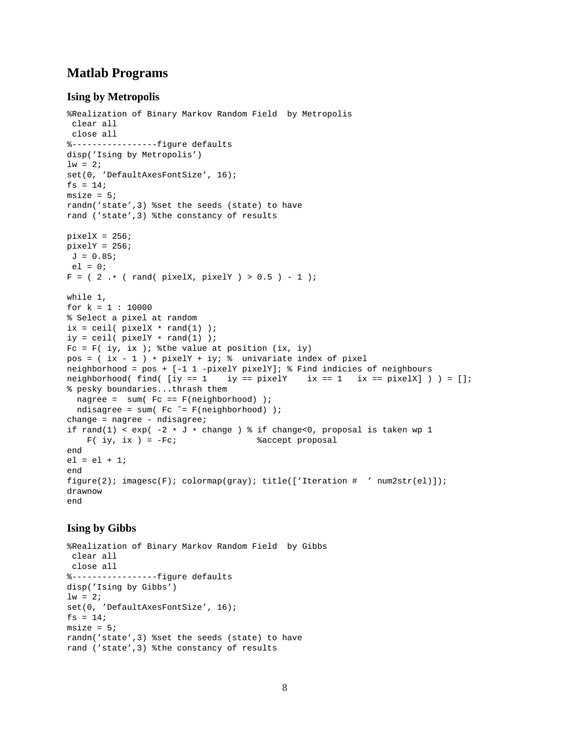# **Matlab Programs**

### **Ising by Metropolis**

```
%Realization of Binary Markov Random Field by Metropolis
clear all
close all
%-----------------figure defaults
disp('Ising by Metropolis')
lw = 2;set(0, 'DefaultAxesFontSize', 16);
fs = 14;msize = 5;randn('state',3) %set the seeds (state) to have
rand ('state',3) %the constancy of results
pixels = 256;pixelY = 256;J = 0.85;el = 0;F = ( 2 + ( rand ( pixel X, pixel Y) > 0.5 ) - 1 );
while 1,
for k = 1 : 10000
% Select a pixel at random
ix = \text{ceil}( \text{pixelX } * \text{rand}(1) );
iy = ceil( pixelY * rand(1) );
Fc = F( iy, ix ); % the value at position (ix, iy)
pos = ( ix - 1 ) * pixelY + iy; % univariate index of pixelneighborhood = pos + [-1 1 -pixelY pixelY]; % Find indicies of neighbours
neighborhood( find( [iy == 1 iy == pixelY ix == 1 ix == pixelX] ) ) = [];
% pesky boundaries...thrash them
 nagree = sum( Fc == F(neighborhood) );
 ndisagree = sum( Fc ~= F(neighborhood) );
change = nagree - ndisagree;
if rand(1) < exp(-2 * J * change) * if change(0, proposal is taken wp 1)F( iy, ix) = -Fc; %accept proposal
end
el = el + 1;end
figure(2); imagesc(F); colormap(gray); title(['Iteration # ' num2str(el)]);
drawnow
end
```
### **Ising by Gibbs**

```
%Realization of Binary Markov Random Field by Gibbs
clear all
close all
%-----------------figure defaults
disp('Ising by Gibbs')
lw = 2;set(0, 'DefaultAxesFontSize', 16);
fs = 14;
msize = 5;randn('state',3) %set the seeds (state) to have
rand ('state',3) %the constancy of results
```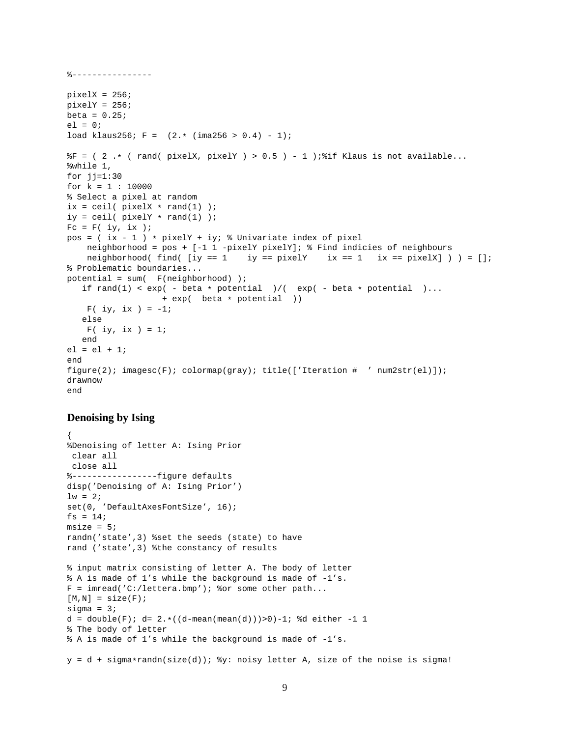```
%----------------
pixels = 256;pixels = 256;beta = 0.25;
el = 0;load klaus256; F = (2, * (ima256 > 0.4) - 1);F = (2 \cdot * (rand(pixelX, pixelY) > 0.5) - 1); if Klaus is not available...
%while 1,
for jj=1:30for k = 1 : 10000% Select a pixel at random
ix = \text{ceil}( \text{pixel} x * \text{rand}(1) );
iy = \text{ceil}( \text{pixelY } * \text{rand}(1) );
Fc = F( iy, ix);pos = (ix - 1) * pixelY + iy; % Univariate index of pixel
    neighborhood = pos + [-1 1 -pixelY pixelY]; % Find indicies of neighbours
    neighborhood( find( [iy == 1 iy == pixelY ix == 1 ix == pixelX] ) ) = [];
% Problematic boundaries...
potential = sum( F(neighborhood) );
   if rand(1) < exp(- beta * potential )/( exp(-) beta * potential )...
                   + exp( beta * potential ))
    F( iy, ix ) = -1;
   else
    F( iy, ix) = 1;end
el = el + 1;
end
figure(2); imagesc(F); colormap(gray); title(['Iteration # ' num2str(el)]);
drawnow
end
```
### **Denoising by Ising**

```
{
%Denoising of letter A: Ising Prior
clear all
close all
%-----------------figure defaults
disp('Denoising of A: Ising Prior')
lw = 2;set(0, 'DefaultAxesFontSize', 16);
fs = 14;msize = 5;randn('state',3) %set the seeds (state) to have
rand ('state',3) %the constancy of results
% input matrix consisting of letter A. The body of letter
% A is made of 1's while the background is made of -1's.
F = imread('C://lettera.bmp'); % or some other path...[M,N] = size(F);sigma = 3;d = double(F); d= 2.*((d-mean(mean(d)))>0)-1; %d either -1 1
% The body of letter
% A is made of 1's while the background is made of -1's.
y = d + sigmaxrandn(size(d)); y: noisy letter A, size of the noise is sigma!
```